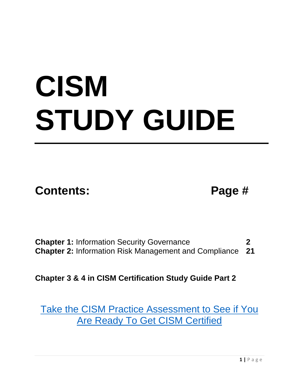# **CISM STUDY GUIDE**

**Contents: Page #**

**Chapter 1:** Information Security Governance **2 Chapter 2:** Information Risk Management and Compliance **21**

**Chapter 3 & 4 in CISM Certification Study Guide Part 2**

Take the CISM Practice [Assessment](http://info.phoenixts.com/cism-exam-prep-assessment) to See if You Are Ready To Get CISM [Certified](http://info.phoenixts.com/cism-exam-prep-assessment)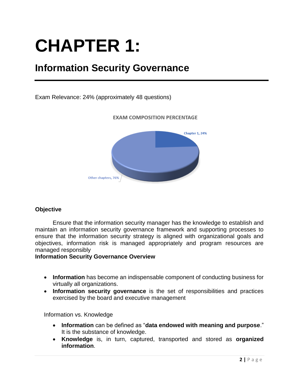# **CHAPTER 1:**

### **Information Security Governance**

Exam Relevance: 24% (approximately 48 questions)



#### **EXAM COMPOSITION PERCENTAGE**

#### **Objective**

Ensure that the information security manager has the knowledge to establish and maintain an information security governance framework and supporting processes to ensure that the information security strategy is aligned with organizational goals and objectives, information risk is managed appropriately and program resources are managed responsibly

#### **Information Security Governance Overview**

- **Information** has become an indispensable component of conducting business for virtually all organizations.
- **Information security governance** is the set of responsibilities and practices exercised by the board and executive management

Information vs. Knowledge

- **Information** can be defined as "**data endowed with meaning and purpose**." It is the substance of knowledge.
- **Knowledge** is, in turn, captured, transported and stored as **organized information**.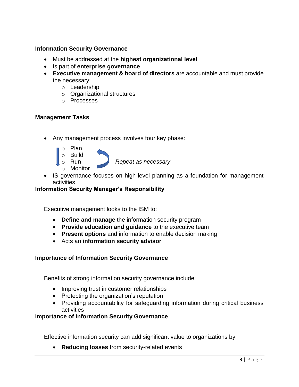#### **Information Security Governance**

- Must be addressed at the **highest organizational level**
- Is part of **enterprise governance**
- **Executive management & board of directors** are accountable and must provide the necessary:
	- o Leadership
	- o Organizational structures
	- o Processes

#### **Management Tasks**

• Any management process involves four key phase:



• IS governance focuses on high-level planning as a foundation for management activities

#### **Information Security Manager's Responsibility**

Executive management looks to the ISM to:

- **Define and manage** the information security program
- **Provide education and guidance** to the executive team
- **Present options** and information to enable decision making
- Acts an **information security advisor**

#### **Importance of Information Security Governance**

Benefits of strong information security governance include:

- Improving trust in customer relationships
- Protecting the organization's reputation
- Providing accountability for safeguarding information during critical business activities

#### **Importance of Information Security Governance**

Effective information security can add significant value to organizations by:

• **Reducing losses** from security-related events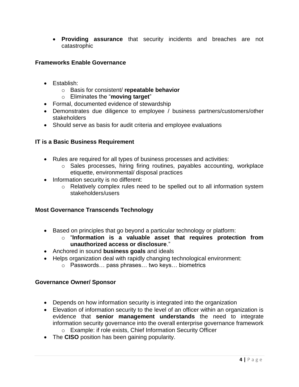• **Providing assurance** that security incidents and breaches are not catastrophic

#### **Frameworks Enable Governance**

- Establish:
	- o Basis for consistent/ **repeatable behavior**
	- o Eliminates the "**moving target**"
- Formal, documented evidence of stewardship
- Demonstrates due diligence to employee / business partners/customers/other stakeholders
- Should serve as basis for audit criteria and employee evaluations

#### **IT is a Basic Business Requirement**

- Rules are required for all types of business processes and activities:
	- o Sales processes, hiring firing routines, payables accounting, workplace etiquette, environmental/ disposal practices
- Information security is no different:
	- o Relatively complex rules need to be spelled out to all information system stakeholders/users

#### **Most Governance Transcends Technology**

- Based on principles that go beyond a particular technology or platform:
	- o "**Information is a valuable asset that requires protection from unauthorized access or disclosure**."
- Anchored in sound **business goals** and ideals
- Helps organization deal with rapidly changing technological environment:
	- o Passwords… pass phrases… two keys… biometrics

#### **Governance Owner/ Sponsor**

- Depends on how information security is integrated into the organization
- Elevation of information security to the level of an officer within an organization is evidence that **senior management understands** the need to integrate information security governance into the overall enterprise governance framework o Example: if role exists, Chief Information Security Officer
- The **CISO** position has been gaining popularity.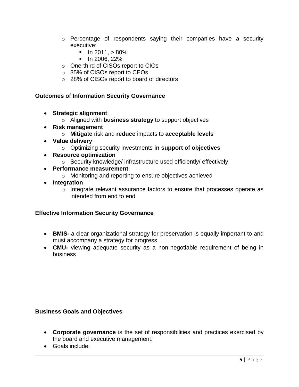- o Percentage of respondents saying their companies have a security executive:
	- $\blacksquare$  In 2011,  $> 80\%$
	- In 2006, 22%
- o One-third of CISOs report to CIOs
- o 35% of CISOs report to CEOs
- o 28% of CISOs report to board of directors

#### **Outcomes of Information Security Governance**

- **Strategic alignment**:
	- o Aligned with **business strategy** to support objectives
- **Risk management**
	- o **Mitigate** risk and **reduce** impacts to **acceptable levels**
- **Value delivery**
	- o Optimizing security investments **in support of objectives**
- **Resource optimization**
	- o Security knowledge/ infrastructure used efficiently/ effectively
- **Performance measurement**
	- o Monitoring and reporting to ensure objectives achieved
- **Integration**
	- o Integrate relevant assurance factors to ensure that processes operate as intended from end to end

#### **Effective Information Security Governance**

- **BMIS-** a clear organizational strategy for preservation is equally important to and must accompany a strategy for progress
- **CMU-** viewing adequate security as a non-negotiable requirement of being in business

#### **Business Goals and Objectives**

- **Corporate governance** is the set of responsibilities and practices exercised by the board and executive management:
- Goals include: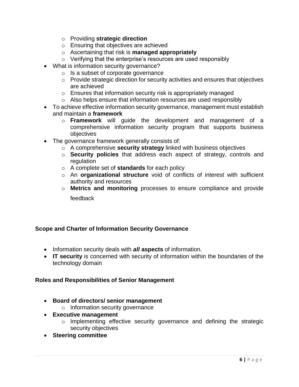- o Providing **strategic direction**
- o Ensuring that objectives are achieved
- o Ascertaining that risk is **managed appropriately**
- o Verifying that the enterprise's resources are used responsibly
- What is information security governance?
	- o Is a subset of corporate governance
	- o Provide strategic direction for security activities and ensures that objectives are achieved
	- o Ensures that information security risk is appropriately managed
	- o Also helps ensure that information resources are used responsibly
- To achieve effective information security governance, management must establish and maintain a **framework**
	- o **Framework** will guide the development and management of a comprehensive information security program that supports business objectives
- The governance framework generally consists of:
	- o A comprehensive **security strategy** linked with business objectives
	- o **Security policies** that address each aspect of strategy, controls and regulation
	- o A complete set of **standards** for each policy
	- o An **organizational structure** void of conflicts of interest with sufficient authority and resources
	- o **Metrics and monitoring** processes to ensure compliance and provide feedback

#### **Scope and Charter of Information Security Governance**

- Information security deals with *all* **aspects** of information.
- **IT security** is concerned with security of information within the boundaries of the technology domain

#### **Roles and Responsibilities of Senior Management**

- **Board of directors/ senior management**
	- o Information security governance
- **Executive management**
	- o Implementing effective security governance and defining the strategic security objectives
- **Steering committee**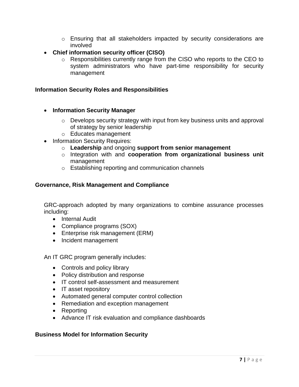- $\circ$  Ensuring that all stakeholders impacted by security considerations are involved
- **Chief information security officer (CISO)**
	- o Responsibilities currently range from the CISO who reports to the CEO to system administrators who have part-time responsibility for security management

#### **Information Security Roles and Responsibilities**

- **Information Security Manager**
	- o Develops security strategy with input from key business units and approval of strategy by senior leadership
	- o Educates management
- Information Security Requires:
	- o **Leadership** and ongoing **support from senior management**
	- o Integration with and **cooperation from organizational business unit** management
	- o Establishing reporting and communication channels

#### **Governance, Risk Management and Compliance**

GRC-approach adopted by many organizations to combine assurance processes including:

- Internal Audit
- Compliance programs (SOX)
- Enterprise risk management (ERM)
- Incident management

An IT GRC program generally includes:

- Controls and policy library
- Policy distribution and response
- IT control self-assessment and measurement
- IT asset repository
- Automated general computer control collection
- Remediation and exception management
- Reporting
- Advance IT risk evaluation and compliance dashboards

#### **Business Model for Information Security**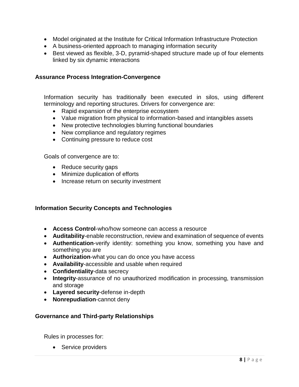- Model originated at the Institute for Critical Information Infrastructure Protection
- A business-oriented approach to managing information security
- Best viewed as flexible, 3-D, pyramid-shaped structure made up of four elements linked by six dynamic interactions

#### **Assurance Process Integration-Convergence**

Information security has traditionally been executed in silos, using different terminology and reporting structures. Drivers for convergence are:

- Rapid expansion of the enterprise ecosystem
- Value migration from physical to information-based and intangibles assets
- New protective technologies blurring functional boundaries
- New compliance and regulatory regimes
- Continuing pressure to reduce cost

Goals of convergence are to:

- Reduce security gaps
- Minimize duplication of efforts
- Increase return on security investment

#### **Information Security Concepts and Technologies**

- **Access Control**-who/how someone can access a resource
- **Auditability**-enable reconstruction, review and examination of sequence of events
- **Authentication**-verify identity: something you know, something you have and something you are
- **Authorization**-what you can do once you have access
- **Availability**-accessible and usable when required
- **Confidentiality**-data secrecy
- **Integrity**-assurance of no unauthorized modification in processing, transmission and storage
- **Layered security**-defense in-depth
- **Nonrepudiation**-cannot deny

#### **Governance and Third-party Relationships**

Rules in processes for:

• Service providers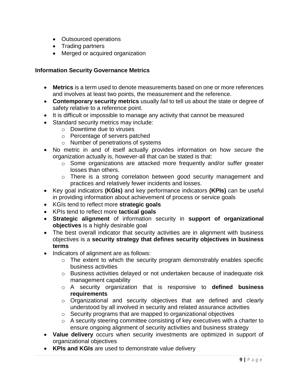- Outsourced operations
- Trading partners
- Merged or acquired organization

#### **Information Security Governance Metrics**

- **Metrics** is a term used to denote measurements based on one or more references and involves at least two points, the measurement and the reference.
- **Contemporary security metrics** usually *fail* to tell us about the state or degree of safety relative to a reference point.
- It is difficult or impossible to manage any activity that cannot be measured
- Standard security metrics may include:
	- o Downtime due to viruses
	- o Percentage of servers patched
	- o Number of penetrations of systems
- No metric in and of itself actually provides information on how *secure* the organization actually is, however-all that can be stated is that:
	- o Some organizations are attacked more frequently and/or suffer greater losses than others.
	- o There is a strong correlation between good security management and practices and relatively fewer incidents and losses.
- Key goal indicators **(KGIs)** and key performance indicators **(KPIs)** can be useful in providing information about achievement of process or service goals
- KGIs tend to reflect more **strategic goals**
- KPIs tend to reflect more **tactical goals**
- **Strategic alignment** of information security in **support of organizational objectives** is a highly desirable goal
- The best overall indicator that security activities are in alignment with business objectives is a **security strategy that defines security objectives in business terms**
- Indicators of alignment are as follows:
	- $\circ$  The extent to which the security program demonstrably enables specific business activities
	- o Business activities delayed or not undertaken because of inadequate risk management capability
	- o A security organization that is responsive to **defined business requirements**
	- o Organizational and security objectives that are defined and clearly understood by all involved in security and related assurance activities
	- o Security programs that are mapped to organizational objectives
	- o A security steering committee consisting of key executives with a charter to ensure ongoing alignment of security activities and business strategy
- **Value delivery** occurs when security investments are optimized in support of organizational objectives
- **KPIs and KGIs** are used to demonstrate value delivery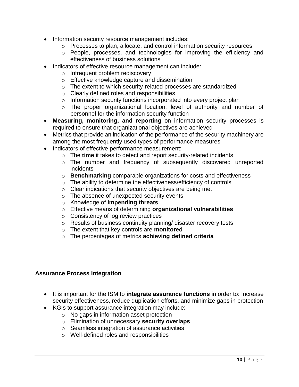- Information security resource management includes:
	- o Processes to plan, allocate, and control information security resources
	- o People, processes, and technologies for improving the efficiency and effectiveness of business solutions
- Indicators of effective resource management can include:
	- o Infrequent problem rediscovery
	- o Effective knowledge capture and dissemination
	- o The extent to which security-related processes are standardized
	- o Clearly defined roles and responsibilities
	- o Information security functions incorporated into every project plan
	- o The proper organizational location, level of authority and number of personnel for the information security function
- **Measuring, monitoring, and reporting** on information security processes is required to ensure that organizational objectives are achieved
- Metrics that provide an indication of the performance of the security machinery are among the most frequently used types of performance measures
- Indicators of effective performance measurement:
	- o The **time** it takes to detect and report security-related incidents
	- o The number and frequency of subsequently discovered unreported incidents
	- o **Benchmarking** comparable organizations for costs and effectiveness
	- o The ability to determine the effectiveness/efficiency of controls
	- o Clear indications that security objectives are being met
	- o The absence of unexpected security events
	- o Knowledge of **impending threats**
	- o Effective means of determining **organizational vulnerabilities**
	- o Consistency of log review practices
	- o Results of business continuity planning/ disaster recovery tests
	- o The extent that key controls are **monitored**
	- o The percentages of metrics **achieving defined criteria**

#### **Assurance Process Integration**

- It is important for the ISM to **integrate assurance functions** in order to: Increase security effectiveness, reduce duplication efforts, and minimize gaps in protection
- KGIs to support assurance integration may include:
	- o No gaps in information asset protection
	- o Elimination of unnecessary **security overlaps**
	- o Seamless integration of assurance activities
	- o Well-defined roles and responsibilities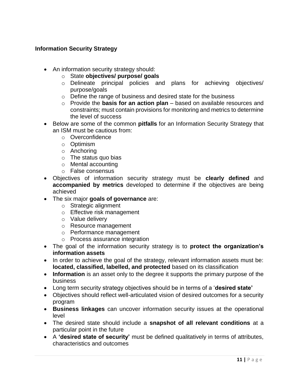#### **Information Security Strategy**

- An information security strategy should:
	- o State **objectives/ purpose/ goals**
	- o Delineate principal policies and plans for achieving objectives/ purpose/goals
	- o Define the range of business and desired state for the business
	- o Provide the **basis for an action plan** based on available resources and constraints; must contain provisions for monitoring and metrics to determine the level of success
- Below are some of the common **pitfalls** for an Information Security Strategy that an ISM must be cautious from:
	- o Overconfidence
	- o Optimism
	- o Anchoring
	- o The status quo bias
	- o Mental accounting
	- o False consensus
- Objectives of information security strategy must be **clearly defined** and **accompanied by metrics** developed to determine if the objectives are being achieved
- The six major **goals of governance** are:
	- o Strategic alignment
	- o Effective risk management
	- o Value delivery
	- o Resource management
	- o Performance management
	- o Process assurance integration
- The goal of the information security strategy is to **protect the organization's information assets**
- In order to achieve the goal of the strategy, relevant information assets must be: **located, classified, labelled, and protected** based on its classification
- **Information** is an asset only to the degree it supports the primary purpose of the business
- Long term security strategy objectives should be in terms of a '**desired state'**
- Objectives should reflect well-articulated vision of desired outcomes for a security program
- **Business linkages** can uncover information security issues at the operational level
- The desired state should include a **snapshot of all relevant conditions** at a particular point in the future
- A **'desired state of security'** must be defined qualitatively in terms of attributes, characteristics and outcomes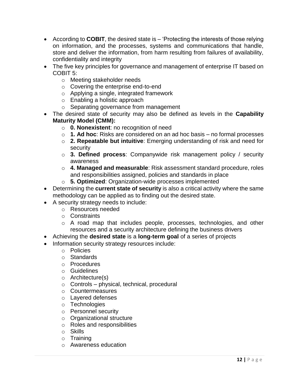- According to **COBIT**, the desired state is 'Protecting the interests of those relying on information, and the processes, systems and communications that handle, store and deliver the information, from harm resulting from failures of availability, confidentiality and integrity
- The five key principles for governance and management of enterprise IT based on COBIT 5:
	- o Meeting stakeholder needs
	- o Covering the enterprise end-to-end
	- o Applying a single, integrated framework
	- o Enabling a holistic approach
	- o Separating governance from management
- The desired state of security may also be defined as levels in the **Capability Maturity Model (CMM):**
	- o **0. Nonexistent**: no recognition of need
	- o **1. Ad hoc**: Risks are considered on an ad hoc basis no formal processes
	- o **2. Repeatable but intuitive**: Emerging understanding of risk and need for security
	- o **3. Defined process**: Companywide risk management policy / security awareness
	- o **4. Managed and measurable**: Risk assessment standard procedure, roles and responsibilities assigned, policies and standards in place
	- o **5. Optimized**: Organization-wide processes implemented
- Determining the **current state of security** is also a critical activity where the same methodology can be applied as to finding out the desired state.
- A security strategy needs to include:
	- o Resources needed
	- o Constraints
	- o A road map that includes people, processes, technologies, and other resources and a security architecture defining the business drivers
- Achieving the **desired state** is a **long-term goal** of a series of projects
- Information security strategy resources include:
	- o Policies
	- o Standards
	- o Procedures
	- o Guidelines
	- o Architecture(s)
	- o Controls physical, technical, procedural
	- o Countermeasures
	- o Layered defenses
	- o Technologies
	- o Personnel security
	- o Organizational structure
	- o Roles and responsibilities
	- o Skills
	- o Training
	- o Awareness education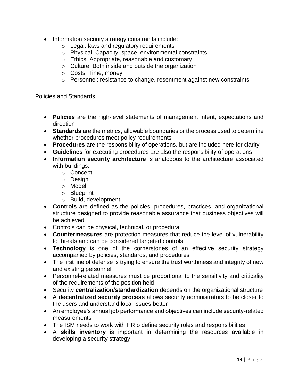- Information security strategy constraints include:
	- o Legal: laws and regulatory requirements
	- o Physical: Capacity, space, environmental constraints
	- o Ethics: Appropriate, reasonable and customary
	- o Culture: Both inside and outside the organization
	- o Costs: Time, money
	- o Personnel: resistance to change, resentment against new constraints

Policies and Standards

- **Policies** are the high-level statements of management intent, expectations and direction
- **Standards** are the metrics, allowable boundaries or the process used to determine whether procedures meet policy requirements
- **Procedures** are the responsibility of operations, but are included here for clarity
- **Guidelines** for executing procedures are also the responsibility of operations
- **Information security architecture** is analogous to the architecture associated with buildings:
	- o Concept
	- o Design
	- o Model
	- o Blueprint
	- o Build, development
- **Controls** are defined as the policies, procedures, practices, and organizational structure designed to provide reasonable assurance that business objectives will be achieved
- Controls can be physical, technical, or procedural
- **Countermeasures** are protection measures that reduce the level of vulnerability to threats and can be considered targeted controls
- **Technology** is one of the cornerstones of an effective security strategy accompanied by policies, standards, and procedures
- The first line of defense is trying to ensure the trust worthiness and integrity of new and existing personnel
- Personnel-related measures must be proportional to the sensitivity and criticality of the requirements of the position held
- Security **centralization/standardization** depends on the organizational structure
- A **decentralized security process** allows security administrators to be closer to the users and understand local issues better
- An employee's annual job performance and objectives can include security-related measurements
- The ISM needs to work with HR o define security roles and responsibilities
- A **skills inventory** is important in determining the resources available in developing a security strategy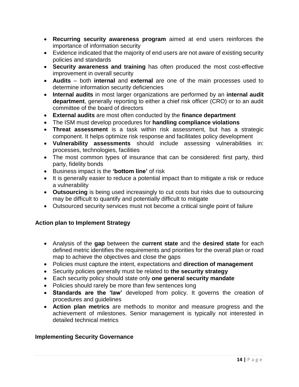- **Recurring security awareness program** aimed at end users reinforces the importance of information security
- Evidence indicated that the majority of end users are not aware of existing security policies and standards
- **Security awareness and training** has often produced the most cost-effective improvement in overall security
- **Audits** both **internal** and **external** are one of the main processes used to determine information security deficiencies
- **Internal audits** in most larger organizations are performed by an **internal audit department**, generally reporting to either a chief risk officer (CRO) or to an audit committee of the board of directors
- **External audits** are most often conducted by the **finance department**
- The ISM must develop procedures for **handling compliance violations**
- **Threat assessment** is a task within risk assessment, but has a strategic component. It helps optimize risk response and facilitates policy development
- **Vulnerability assessments** should include assessing vulnerabilities in: processes, technologies, facilities
- The most common types of insurance that can be considered: first party, third party, fidelity bonds
- Business impact is the **'bottom line'** of risk
- It is generally easier to reduce a potential impact than to mitigate a risk or reduce a vulnerability
- **Outsourcing** is being used increasingly to cut costs but risks due to outsourcing may be difficult to quantify and potentially difficult to mitigate
- Outsourced security services must not become a critical single point of failure

#### **Action plan to Implement Strategy**

- Analysis of the **gap** between the **current state** and the **desired state** for each defined metric identifies the requirements and priorities for the overall plan or road map to achieve the objectives and close the gaps
- Policies must capture the intent, expectations and **direction of management**
- Security policies generally must be related to **the security strategy**
- Each security policy should state only **one general security mandate**
- Policies should rarely be more than few sentences long
- **Standards are the 'law'** developed from policy. It governs the creation of procedures and guidelines
- **Action plan metrics** are methods to monitor and measure progress and the achievement of milestones. Senior management is typically not interested in detailed technical metrics

#### **Implementing Security Governance**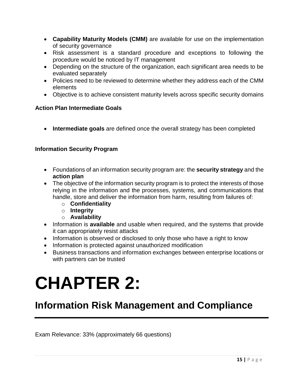- **Capability Maturity Models (CMM)** are available for use on the implementation of security governance
- Risk assessment is a standard procedure and exceptions to following the procedure would be noticed by IT management
- Depending on the structure of the organization, each significant area needs to be evaluated separately
- Policies need to be reviewed to determine whether they address each of the CMM elements
- Objective is to achieve consistent maturity levels across specific security domains

#### **Action Plan Intermediate Goals**

• **Intermediate goals** are defined once the overall strategy has been completed

#### **Information Security Program**

- Foundations of an information security program are: the **security strategy** and the **action plan**
- The objective of the information security program is to protect the interests of those relying in the information and the processes, systems, and communications that handle, store and deliver the information from harm, resulting from failures of:
	- o **Confidentiality**
	- o **Integrity**
	- o **Availability**
- Information is **available** and usable when required, and the systems that provide it can appropriately resist attacks
- Information is observed or disclosed to only those who have a right to know
- Information is protected against unauthorized modification
- Business transactions and information exchanges between enterprise locations or with partners can be trusted

# **CHAPTER 2:**

### **Information Risk Management and Compliance**

Exam Relevance: 33% (approximately 66 questions)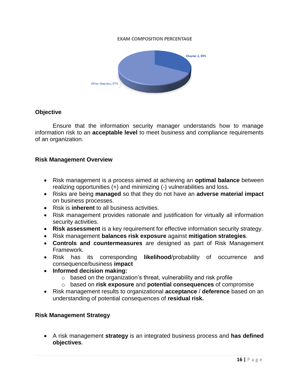#### **EXAM COMPOSITION PERCENTAGE**



#### **Objective**

Ensure that the information security manager understands how to manage information risk to an **acceptable level** to meet business and compliance requirements of an organization.

#### **Risk Management Overview**

- Risk management is a process aimed at achieving an **optimal balance** between realizing opportunities (+) and minimizing (-) vulnerabilities and loss.
- Risks are being **managed** so that they do not have an **adverse material impact** on business processes.
- Risk is **inherent** to all business activities.
- Risk management provides rationale and justification for virtually all information security activities.
- **Risk assessment** is a key requirement for effective information security strategy.
- Risk management **balances risk exposure** against **mitigation strategies**.
- **Controls and countermeasures** are designed as part of Risk Management Framework.
- Risk has its corresponding **likelihood**/probability of occurrence and consequence/business **impact**
- **Informed decision making:**
	- $\circ$  based on the organization's threat, vulnerability and risk profile
	- o based on **risk exposure** and **potential consequences** of compromise
- Risk management results to organizational **acceptance** / **deference** based on an understanding of potential consequences of **residual risk.**

#### **Risk Management Strategy**

• A risk management **strategy** is an integrated business process and **has defined objectives**.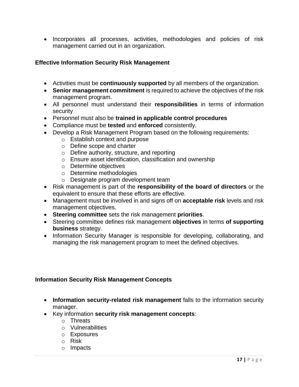• Incorporates all processes, activities, methodologies and policies of risk management carried out in an organization.

#### **Effective Information Security Risk Management**

- Activities must be **continuously supported** by all members of the organization.
- **Senior management commitment** is required to achieve the objectives of the risk management program.
- All personnel must understand their **responsibilities** in terms of information security
- Personnel must also be **trained in applicable control procedures**
- Compliance must be **tested** and **enforced** consistently.
- Develop a Risk Management Program based on the following requirements:
	- o Establish context and purpose
	- o Define scope and charter
	- o Define authority, structure, and reporting
	- o Ensure asset identification, classification and ownership
	- o Determine objectives
	- o Determine methodologies
	- o Designate program development team
- Risk management is part of the **responsibility of the board of directors** or the equivalent to ensure that these efforts are effective.
- Management must be involved in and signs off on **acceptable risk** levels and risk management objectives.
- **Steering committee** sets the risk management **priorities**.
- Steering committee defines risk management **objectives** in terms **of supporting business** strategy.
- Information Security Manager is responsible for developing, collaborating, and managing the risk management program to meet the defined objectives.

#### **Information Security Risk Management Concepts**

- **Information security-related risk management** falls to the information security manager.
- Key information **security risk management concepts**:
	- o Threats
	- o Vulnerabilities
	- o Exposures
	- o Risk
	- o Impacts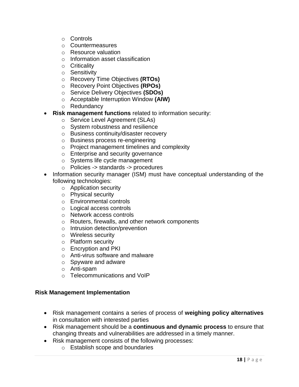- o Controls
- o Countermeasures
- o Resource valuation
- o Information asset classification
- o Criticality
- o Sensitivity
- o Recovery Time Objectives **(RTOs)**
- o Recovery Point Objectives **(RPOs)**
- o Service Delivery Objectives **(SDOs)**
- o Acceptable Interruption Window **(AIW)**
- o Redundancy
- **Risk management functions** related to information security:
	- o Service Level Agreement (SLAs)
	- o System robustness and resilience
	- o Business continuity/disaster recovery
	- o Business process re-engineering
	- o Project management timelines and complexity
	- o Enterprise and security governance
	- o Systems life cycle management
	- o Policies -> standards -> procedures
- Information security manager (ISM) must have conceptual understanding of the following technologies:
	- o Application security
	- o Physical security
	- o Environmental controls
	- o Logical access controls
	- o Network access controls
	- o Routers, firewalls, and other network components
	- o Intrusion detection/prevention
	- o Wireless security
	- o Platform security
	- o Encryption and PKI
	- o Anti-virus software and malware
	- o Spyware and adware
	- o Anti-spam
	- o Telecommunications and VoIP

#### **Risk Management Implementation**

- Risk management contains a series of process of **weighing policy alternatives** in consultation with interested parties
- Risk management should be a **continuous and dynamic process** to ensure that changing threats and vulnerabilities are addressed in a timely manner.
- Risk management consists of the following processes:
	- o Establish scope and boundaries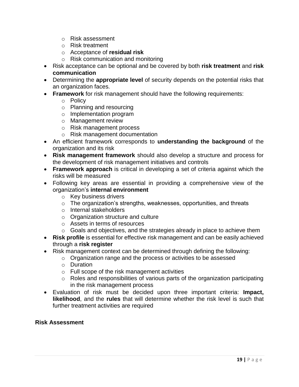- o Risk assessment
- o Risk treatment
- o Acceptance of **residual risk**
- o Risk communication and monitoring
- Risk acceptance can be optional and be covered by both **risk treatment** and **risk communication**
- Determining the **appropriate level** of security depends on the potential risks that an organization faces.
- **Framework** for risk management should have the following requirements:
	- o Policy
	- o Planning and resourcing
	- o Implementation program
	- o Management review
	- o Risk management process
	- o Risk management documentation
- An efficient framework corresponds to **understanding the background** of the organization and its risk
- **Risk management framework** should also develop a structure and process for the development of risk management initiatives and controls
- **Framework approach** is critical in developing a set of criteria against which the risks will be measured
- Following key areas are essential in providing a comprehensive view of the organization's **internal environment**
	- o Key business drivers
	- $\circ$  The organization's strengths, weaknesses, opportunities, and threats
	- o Internal stakeholders
	- o Organization structure and culture
	- o Assets in terms of resources
	- o Goals and objectives, and the strategies already in place to achieve them
- **Risk profile** is essential for effective risk management and can be easily achieved through a **risk register**
- Risk management context can be determined through defining the following:
	- o Organization range and the process or activities to be assessed
	- o Duration
	- o Full scope of the risk management activities
	- o Roles and responsibilities of various parts of the organization participating in the risk management process
- Evaluation of risk must be decided upon three important criteria: **Impact, likelihood**, and the **rules** that will determine whether the risk level is such that further treatment activities are required

#### **Risk Assessment**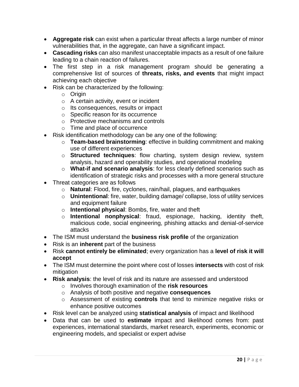- **Aggregate risk** can exist when a particular threat affects a large number of minor vulnerabilities that, in the aggregate, can have a significant impact.
- **Cascading risks** can also manifest unacceptable impacts as a result of one failure leading to a chain reaction of failures.
- The first step in a risk management program should be generating a comprehensive list of sources of **threats, risks, and events** that might impact achieving each objective
- Risk can be characterized by the following:
	- o Origin
	- o A certain activity, event or incident
	- o Its consequences, results or impact
	- o Specific reason for its occurrence
	- o Protective mechanisms and controls
	- o Time and place of occurrence
- Risk identification methodology can be any one of the following:
	- o **Team-based brainstorming**: effective in building commitment and making use of different experiences
	- o **Structured techniques**: flow charting, system design review, system analysis, hazard and operability studies, and operational modeling
	- o **What-if and scenario analysis**: for less clearly defined scenarios such as identification of strategic risks and processes with a more general structure
- Threat categories are as follows
	- o **Natural**: Flood, fire, cyclones, rain/hail, plagues, and earthquakes
	- o **Unintentional**: fire, water, building damage/ collapse, loss of utility services and equipment failure
	- o **Intentional physical**: Bombs, fire, water and theft
	- o **Intentional nonphysical**: fraud, espionage, hacking, identity theft, malicious code, social engineering, phishing attacks and denial-of-service attacks
- The ISM must understand the **business risk profile** of the organization
- Risk is an **inherent** part of the business
- Risk **cannot entirely be eliminated**; every organization has a **level of risk it will accept**
- The ISM must determine the point where cost of losses **intersects** with cost of risk mitigation
- **Risk analysis**: the level of risk and its nature are assessed and understood
	- o Involves thorough examination of the **risk resources**
	- o Analysis of both positive and negative **consequences**
	- o Assessment of existing **controls** that tend to minimize negative risks or enhance positive outcomes
- Risk level can be analyzed using **statistical analysis** of impact and likelihood
- Data that can be used to **estimate** impact and likelihood comes from: past experiences, international standards, market research, experiments, economic or engineering models, and specialist or expert advise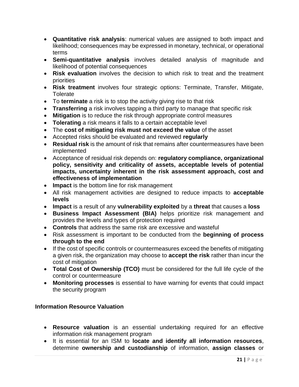- **Quantitative risk analysis**: numerical values are assigned to both impact and likelihood; consequences may be expressed in monetary, technical, or operational terms
- **Semi-quantitative analysis** involves detailed analysis of magnitude and likelihood of potential consequences
- **Risk evaluation** involves the decision to which risk to treat and the treatment priorities
- **Risk treatment** involves four strategic options: Terminate, Transfer, Mitigate, **Tolerate**
- To **terminate** a risk is to stop the activity giving rise to that risk
- **Transferring** a risk involves tapping a third party to manage that specific risk
- **Mitigation** is to reduce the risk through appropriate control measures
- **Tolerating** a risk means it falls to a certain acceptable level
- The **cost of mitigating risk must not exceed the value** of the asset
- Accepted risks should be evaluated and reviewed **regularly**
- **Residual risk** is the amount of risk that remains after countermeasures have been implemented
- Acceptance of residual risk depends on: **regulatory compliance, organizational policy, sensitivity and criticality of assets, acceptable levels of potential impacts, uncertainty inherent in the risk assessment approach, cost and effectiveness of implementation**
- **Impact** is the bottom line for risk management
- All risk management activities are designed to reduce impacts to **acceptable levels**
- **Impact** is a result of any **vulnerability exploited** by a **threat** that causes a **loss**
- **Business Impact Assessment (BIA)** helps prioritize risk management and provides the levels and types of protection required
- **Controls** that address the same risk are excessive and wasteful
- Risk assessment is important to be conducted from the **beginning of process through to the end**
- If the cost of specific controls or countermeasures exceed the benefits of mitigating a given risk, the organization may choose to **accept the risk** rather than incur the cost of mitigation
- **Total Cost of Ownership (TCO)** must be considered for the full life cycle of the control or countermeasure
- **Monitoring processes** is essential to have warning for events that could impact the security program

#### **Information Resource Valuation**

- **Resource valuation** is an essential undertaking required for an effective information risk management program
- It is essential for an ISM to **locate and identify all information resources**, determine **ownership and custodianship** of information, **assign classes** or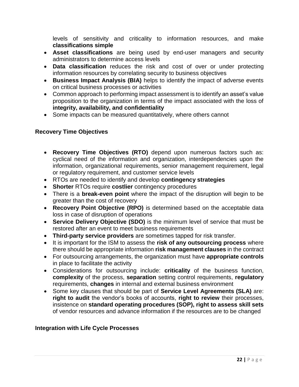levels of sensitivity and criticality to information resources, and make **classifications simple**

- **Asset classifications** are being used by end-user managers and security administrators to determine access levels
- **Data classification** reduces the risk and cost of over or under protecting information resources by correlating security to business objectives
- **Business Impact Analysis (BIA)** helps to identify the impact of adverse events on critical business processes or activities
- Common approach to performing impact assessment is to identify an asset's value proposition to the organization in terms of the impact associated with the loss of **integrity, availability, and confidentiality**
- Some impacts can be measured quantitatively, where others cannot

#### **Recovery Time Objectives**

- **Recovery Time Objectives (RTO)** depend upon numerous factors such as: cyclical need of the information and organization, interdependencies upon the information, organizational requirements, senior management requirement, legal or regulatory requirement, and customer service levels
- RTOs are needed to identify and develop **contingency strategies**
- **Shorter** RTOs require **costlier** contingency procedures
- There is a **break-even point** where the impact of the disruption will begin to be greater than the cost of recovery
- **Recovery Point Objective (RPO)** is determined based on the acceptable data loss in case of disruption of operations
- **Service Delivery Objective (SDO)** is the minimum level of service that must be restored after an event to meet business requirements
- **Third-party service providers** are sometimes tapped for risk transfer.
- It is important for the ISM to assess the **risk of any outsourcing process** where there should be appropriate information **risk management clauses** in the contract
- For outsourcing arrangements, the organization must have **appropriate controls** in place to facilitate the activity
- Considerations for outsourcing include: **criticality** of the business function, **complexity** of the process, **separation** setting control requirements, **regulatory**  requirements, **changes** in internal and external business environment
- Some key clauses that should be part of **Service Level Agreements (SLA)** are: **right to audit** the vendor's books of accounts, **right to review** their processes, insistence on **standard operating procedures (SOP), right to assess skill sets** of vendor resources and advance information if the resources are to be changed

#### **Integration with Life Cycle Processes**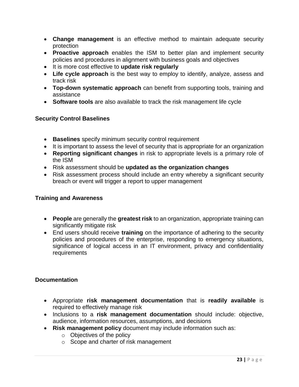- **Change management** is an effective method to maintain adequate security protection
- **Proactive approach** enables the ISM to better plan and implement security policies and procedures in alignment with business goals and objectives
- It is more cost effective to **update risk regularly**
- **Life cycle approach** is the best way to employ to identify, analyze, assess and track risk
- **Top-down systematic approach** can benefit from supporting tools, training and assistance
- **Software tools** are also available to track the risk management life cycle

#### **Security Control Baselines**

- **Baselines** specify minimum security control requirement
- It is important to assess the level of security that is appropriate for an organization
- **Reporting significant changes** in risk to appropriate levels is a primary role of the ISM
- Risk assessment should be **updated as the organization changes**
- Risk assessment process should include an entry whereby a significant security breach or event will trigger a report to upper management

#### **Training and Awareness**

- **People** are generally the **greatest risk** to an organization, appropriate training can significantly mitigate risk
- End users should receive **training** on the importance of adhering to the security policies and procedures of the enterprise, responding to emergency situations, significance of logical access in an IT environment, privacy and confidentiality requirements

#### **Documentation**

- Appropriate **risk management documentation** that is **readily available** is required to effectively manage risk
- Inclusions to a **risk management documentation** should include: objective, audience, information resources, assumptions, and decisions
- **Risk management policy** document may include information such as:
	- o Objectives of the policy
	- o Scope and charter of risk management